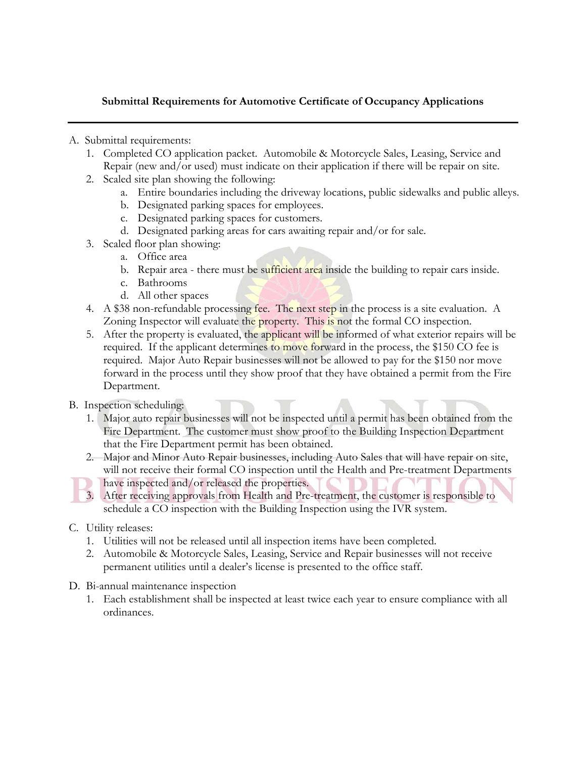### **Submittal Requirements for Automotive Certificate of Occupancy Applications**

- A. Submittal requirements:
	- 1. Completed CO application packet. Automobile & Motorcycle Sales, Leasing, Service and Repair (new and/or used) must indicate on their application if there will be repair on site.
	- 2. Scaled site plan showing the following:
		- a. Entire boundaries including the driveway locations, public sidewalks and public alleys.
		- b. Designated parking spaces for employees.
		- c. Designated parking spaces for customers.
		- d. Designated parking areas for cars awaiting repair and/or for sale.
	- 3. Scaled floor plan showing:
		- a. Office area
		- b. Repair area there must be sufficient area inside the building to repair cars inside.
		- c. Bathrooms
		- d. All other spaces
	- 4. A \$38 non-refundable processing fee. The next step in the process is a site evaluation. A Zoning Inspector will evaluate the property. This is not the formal CO inspection.
	- 5. After the property is evaluated, the applicant will be informed of what exterior repairs will be required. If the applicant determines to move forward in the process, the \$150 CO fee is required. Major Auto Repair businesses will not be allowed to pay for the \$150 nor move forward in the process until they show proof that they have obtained a permit from the Fire Department.
- B. Inspection scheduling:
	- 1. Major auto repair businesses will not be inspected until a permit has been obtained from the Fire Department. The customer must show proof to the Building Inspection Department that the Fire Department permit has been obtained.
	- 2. Major and Minor Auto Repair businesses, including Auto Sales that will have repair on site, will not receive their formal CO inspection until the Health and Pre-treatment Departments
	- have inspected and/or released the properties.
	- 3. After receiving approvals from Health and Pre-treatment, the customer is responsible to schedule a CO inspection with the Building Inspection using the IVR system.
- C. Utility releases:
	- 1. Utilities will not be released until all inspection items have been completed.
	- 2. Automobile & Motorcycle Sales, Leasing, Service and Repair businesses will not receive permanent utilities until a dealer's license is presented to the office staff.
- D. Bi-annual maintenance inspection
	- 1. Each establishment shall be inspected at least twice each year to ensure compliance with all ordinances.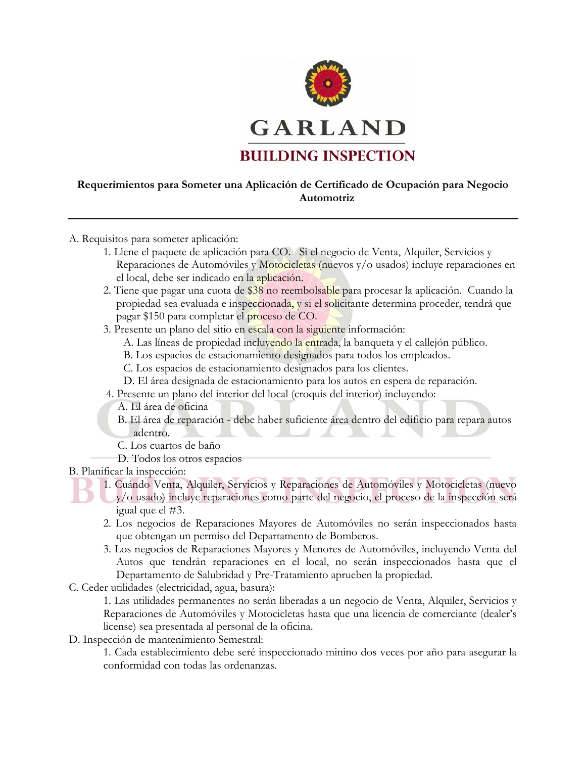

### **Requerimientos para Someter una Aplicación de Certificado de Ocupación para Negocio Automotriz**

- A. Requisitos para someter aplicación:
	- 1. Llene el paquete de aplicación para CO. Si el negocio de Venta, Alquiler, Servicios y Reparaciones de Automóviles y Motocicletas (nuevos y/o usados) incluye reparaciones en el local, debe ser indicado en la aplicación.
	- 2. Tiene que pagar una cuota de \$38 no reembolsable para procesar la aplicación. Cuando la propiedad sea evaluada e inspeccionada, y si el solicitante determina proceder, tendrá que pagar \$150 para completar el proceso de CO.
	- 3. Presente un plano del sitio en escala con la siguiente información:
		- A. Las líneas de propiedad incluyendo la entrada, la banqueta y el callejón público.
		- B. Los espacios de estacionamiento designados para todos los empleados.
		- C. Los espacios de estacionamiento designados para los clientes.
		- D. El área designada de estacionamiento para los autos en espera de reparación.
	- 4. Presente un plano del interior del local (croquis del interior) incluyendo:
		- A. El área de oficina
		- B. El área de reparación debe haber suficiente área dentro del edificio para repara autos adentro.
		- C. Los cuartos de baño
		- D. Todos los otros espacios
- B. Planificar la inspección:
	- 1. Cuándo Venta, Alquiler, Servicios y Reparaciones de Automóviles y Motocicletas (nuevo y/o usado) incluye reparaciones como parte del negocio, el proceso de la inspección será igual que el #3.
		- 2. Los negocios de Reparaciones Mayores de Automóviles no serán inspeccionados hasta que obtengan un permiso del Departamento de Bomberos.
		- 3. Los negocios de Reparaciones Mayores y Menores de Automóviles, incluyendo Venta del Autos que tendrán reparaciones en el local, no serán inspeccionados hasta que el Departamento de Salubridad y Pre-Tratamiento aprueben la propiedad.
- C. Ceder utilidades (electricidad, agua, basura):

1. Las utilidades permanentes no serán liberadas a un negocio de Venta, Alquiler, Servicios y Reparaciones de Automóviles y Motocicletas hasta que una licencia de comerciante (dealer's license) sea presentada al personal de la oficina.

D. Inspección de mantenimiento Semestral:

1. Cada establecimiento debe seré inspeccionado minino dos veces por año para asegurar la conformidad con todas las ordenanzas.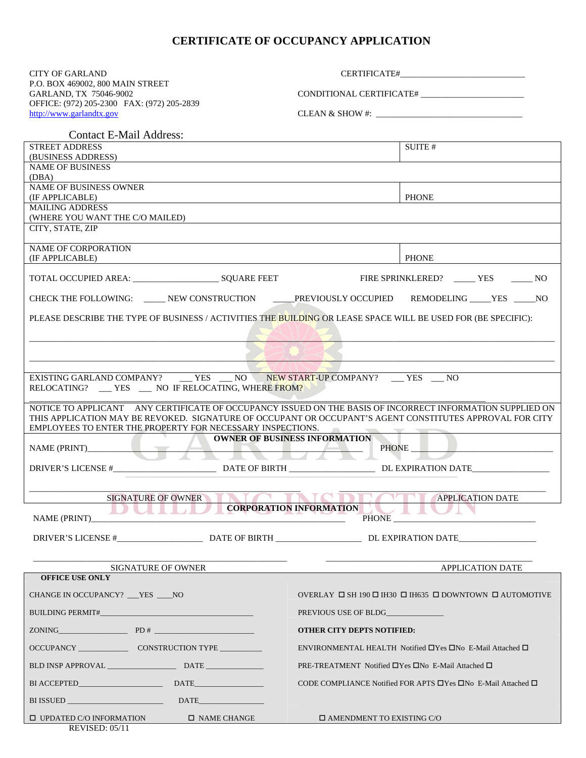### **CERTIFICATE OF OCCUPANCY APPLICATION**

| <b>CITY OF GARLAND</b>                                                                                               |                                                                                                                                                                                                                       |  |  |  |  |  |
|----------------------------------------------------------------------------------------------------------------------|-----------------------------------------------------------------------------------------------------------------------------------------------------------------------------------------------------------------------|--|--|--|--|--|
| P.O. BOX 469002, 800 MAIN STREET<br>GARLAND, TX 75046-9002                                                           | CONDITIONAL CERTIFICATE#                                                                                                                                                                                              |  |  |  |  |  |
| OFFICE: (972) 205-2300 FAX: (972) 205-2839                                                                           |                                                                                                                                                                                                                       |  |  |  |  |  |
| http://www.garlandtx.gov                                                                                             |                                                                                                                                                                                                                       |  |  |  |  |  |
| <b>Contact E-Mail Address:</b><br><b>STREET ADDRESS</b>                                                              | SUITE #                                                                                                                                                                                                               |  |  |  |  |  |
| (BUSINESS ADDRESS)                                                                                                   |                                                                                                                                                                                                                       |  |  |  |  |  |
| <b>NAME OF BUSINESS</b><br>(DBA)                                                                                     |                                                                                                                                                                                                                       |  |  |  |  |  |
| <b>NAME OF BUSINESS OWNER</b><br>(IF APPLICABLE)                                                                     | <b>PHONE</b>                                                                                                                                                                                                          |  |  |  |  |  |
| <b>MAILING ADDRESS</b>                                                                                               |                                                                                                                                                                                                                       |  |  |  |  |  |
| (WHERE YOU WANT THE C/O MAILED)<br>CITY, STATE, ZIP                                                                  |                                                                                                                                                                                                                       |  |  |  |  |  |
| <b>NAME OF CORPORATION</b>                                                                                           |                                                                                                                                                                                                                       |  |  |  |  |  |
| (IF APPLICABLE)                                                                                                      | <b>PHONE</b>                                                                                                                                                                                                          |  |  |  |  |  |
|                                                                                                                      |                                                                                                                                                                                                                       |  |  |  |  |  |
|                                                                                                                      | CHECK THE FOLLOWING: ____ NEW CONSTRUCTION _____ PREVIOUSLY OCCUPIED REMODELING ____ YES _____ NO                                                                                                                     |  |  |  |  |  |
| PLEASE DESCRIBE THE TYPE OF BUSINESS / ACTIVITIES THE BUILDING OR LEASE SPACE WILL BE USED FOR (BE SPECIFIC):        |                                                                                                                                                                                                                       |  |  |  |  |  |
|                                                                                                                      |                                                                                                                                                                                                                       |  |  |  |  |  |
|                                                                                                                      |                                                                                                                                                                                                                       |  |  |  |  |  |
|                                                                                                                      |                                                                                                                                                                                                                       |  |  |  |  |  |
| EXISTING GARLAND COMPANY? YES NO NEW START-UP COMPANY? YES NO<br>RELOCATING? __ YES __ NO IF RELOCATING, WHERE FROM? |                                                                                                                                                                                                                       |  |  |  |  |  |
|                                                                                                                      | NOTICE TO APPLICANT ANY CERTIFICATE OF OCCUPANCY ISSUED ON THE BASIS OF INCORRECT INFORMATION SUPPLIED ON<br>THIS APPLICATION MAY BE REVOKED. SIGNATURE OF OCCUPANT OR OCCUPANT'S AGENT CONSTITUTES APPROVAL FOR CITY |  |  |  |  |  |
| EMPLOYEES TO ENTER THE PROPERTY FOR NECESSARY INSPECTIONS.                                                           |                                                                                                                                                                                                                       |  |  |  |  |  |
| NAME (PRINT)                                                                                                         | <b>OWNER OF BUSINESS INFORMATION</b><br><u> 1989 - Johann Barbara, martxa alemani</u> ar a<br>PHONE __<br><del>NAND AN</del> I                                                                                        |  |  |  |  |  |
|                                                                                                                      |                                                                                                                                                                                                                       |  |  |  |  |  |
|                                                                                                                      |                                                                                                                                                                                                                       |  |  |  |  |  |
| <b>SIGNATURE OF OWNER</b>                                                                                            | the property of the con-<br><b>APPLICATION DATE</b>                                                                                                                                                                   |  |  |  |  |  |
| NAME (PRINT)                                                                                                         | CORPORATION INFORMATION                                                                                                                                                                                               |  |  |  |  |  |
|                                                                                                                      |                                                                                                                                                                                                                       |  |  |  |  |  |
|                                                                                                                      |                                                                                                                                                                                                                       |  |  |  |  |  |
| SIGNATURE OF OWNER<br><b>OFFICE USE ONLY</b>                                                                         | <b>APPLICATION DATE</b>                                                                                                                                                                                               |  |  |  |  |  |
| CHANGE IN OCCUPANCY? TES NO                                                                                          | OVERLAY $\Box$ SH 190 $\Box$ IH30 $\Box$ IH635 $\Box$ DOWNTOWN $\Box$ AUTOMOTIVE                                                                                                                                      |  |  |  |  |  |
|                                                                                                                      |                                                                                                                                                                                                                       |  |  |  |  |  |
|                                                                                                                      | <b>OTHER CITY DEPTS NOTIFIED:</b>                                                                                                                                                                                     |  |  |  |  |  |
|                                                                                                                      | ENVIRONMENTAL HEALTH Notified $\Box$ Yes $\Box$ No E-Mail Attached $\Box$                                                                                                                                             |  |  |  |  |  |
|                                                                                                                      |                                                                                                                                                                                                                       |  |  |  |  |  |
|                                                                                                                      | PRE-TREATMENT Notified □Yes □No E-Mail Attached □                                                                                                                                                                     |  |  |  |  |  |
|                                                                                                                      | CODE COMPLIANCE Notified FOR APTS $\Box$ Yes $\Box$ No E-Mail Attached $\Box$                                                                                                                                         |  |  |  |  |  |
|                                                                                                                      |                                                                                                                                                                                                                       |  |  |  |  |  |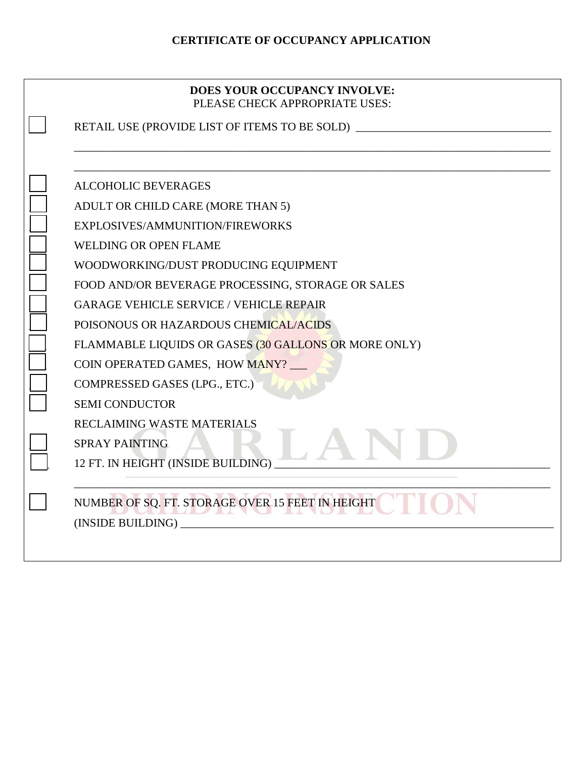### **CERTIFICATE OF OCCUPANCY APPLICATION**

| DOES YOUR OCCUPANCY INVOLVE:   |
|--------------------------------|
| PLEASE CHECK APPROPRIATE USES: |

\_\_\_\_\_\_\_\_\_\_\_\_\_\_\_\_\_\_\_\_\_\_\_\_\_\_\_\_\_\_\_\_\_\_\_\_\_\_\_\_\_\_\_\_\_\_\_\_\_\_\_\_\_\_\_\_\_\_\_\_\_\_\_\_\_\_\_\_\_\_\_\_\_\_\_\_\_\_\_\_\_\_\_

RETAIL USE (PROVIDE LIST OF ITEMS TO BE SOLD)

\_\_\_\_\_\_\_\_\_\_\_\_\_\_\_\_\_\_\_\_\_\_\_\_\_\_\_\_\_\_\_\_\_\_\_\_\_\_\_\_\_\_\_\_\_\_\_\_\_\_\_\_\_\_\_\_\_\_\_\_\_\_\_\_\_\_\_\_\_\_\_\_\_\_\_\_\_\_\_\_\_\_\_ \_\_\_ ALCOHOLIC BEVERAGES ADULT OR CHILD CARE (MORE THAN 5) EXPLOSIVES/AMMUNITION/FIREWORKS WELDING OR OPEN FLAME \_\_\_ WOODWORKING/DUST PRODUCING EQUIPMENT FOOD AND/OR BEVERAGE PROCESSING, STORAGE OR SALES GARAGE VEHICLE SERVICE / VEHICLE REPAIR POISONOUS OR HAZARDOUS CHEMICAL/ACIDS FLAMMABLE LIQUIDS OR GASES (30 GALLONS OR MORE ONLY) COIN OPERATED GAMES, HOW MANY? COMPRESSED GASES (LPG., ETC.) SEMI CONDUCTOR RECLAIMING WASTE MATERIALS \_\_\_ SPRAY PAINTING 12 FT. IN HEIGHT (INSIDE BUILDING) \_\_\_\_\_\_\_\_\_\_\_\_\_\_\_\_\_\_\_\_\_\_\_\_\_\_\_\_\_\_\_\_\_\_\_\_\_\_\_\_\_\_\_\_\_\_\_\_\_\_\_\_\_\_\_\_\_\_\_\_\_\_\_\_\_\_\_\_\_\_\_\_\_\_\_\_\_\_\_\_\_\_\_ NUMBER OF SQ. FT. STORAGE OVER 15 FEET IN HEIGHT

(INSIDE BUILDING) \_\_\_\_\_\_\_\_\_\_\_\_\_\_\_\_\_\_\_\_\_\_\_\_\_\_\_\_\_\_\_\_\_\_\_\_\_\_\_\_\_\_\_\_\_\_\_\_\_\_\_\_\_\_\_\_\_\_\_\_\_\_\_\_\_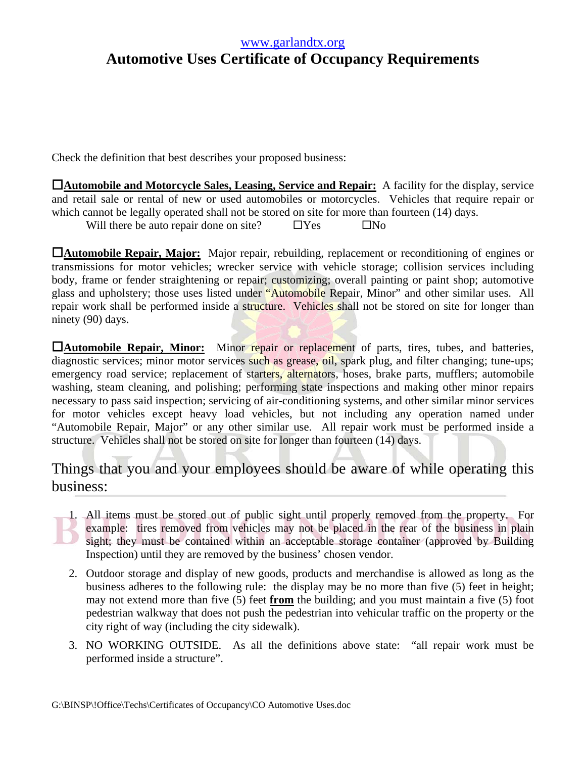### www.garlandtx.org

# **Automotive Uses Certificate of Occupancy Requirements**

Check the definition that best describes your proposed business:

**Automobile and Motorcycle Sales, Leasing, Service and Repair:** A facility for the display, service and retail sale or rental of new or used automobiles or motorcycles. Vehicles that require repair or which cannot be legally operated shall not be stored on site for more than fourteen (14) days.

Will there be auto repair done on site?  $\Box$  Yes  $\Box$  No

**Automobile Repair, Major:** Major repair, rebuilding, replacement or reconditioning of engines or transmissions for motor vehicles; wrecker service with vehicle storage; collision services including body, frame or fender straightening or repair; customizing; overall painting or paint shop; automotive glass and upholstery; those uses listed under "Automobile Repair, Minor" and other similar uses. All repair work shall be performed inside a structure. Vehicles shall not be stored on site for longer than ninety (90) days.

**Hautomobile Repair, Minor:** Minor repair or replacement of parts, tires, tubes, and batteries, diagnostic services; minor motor services such as grease, oil, spark plug, and filter changing; tune-ups; emergency road service; replacement of starters, alternators, hoses, brake parts, mufflers; automobile washing, steam cleaning, and polishing; performing state inspections and making other minor repairs necessary to pass said inspection; servicing of air-conditioning systems, and other similar minor services for motor vehicles except heavy load vehicles, but not including any operation named under "Automobile Repair, Major" or any other similar use. All repair work must be performed inside a structure. Vehicles shall not be stored on site for longer than fourteen (14) days.

### Things that you and your employees should be aware of while operating this business:

- 1. All items must be stored out of public sight until properly removed from the property. For example: tires removed from vehicles may not be placed in the rear of the business in plain sight; they must be contained within an acceptable storage container (approved by Building Inspection) until they are removed by the business' chosen vendor.
- 2. Outdoor storage and display of new goods, products and merchandise is allowed as long as the business adheres to the following rule: the display may be no more than five (5) feet in height; may not extend more than five (5) feet **from** the building; and you must maintain a five (5) foot pedestrian walkway that does not push the pedestrian into vehicular traffic on the property or the city right of way (including the city sidewalk).
- 3. NO WORKING OUTSIDE. As all the definitions above state: "all repair work must be performed inside a structure".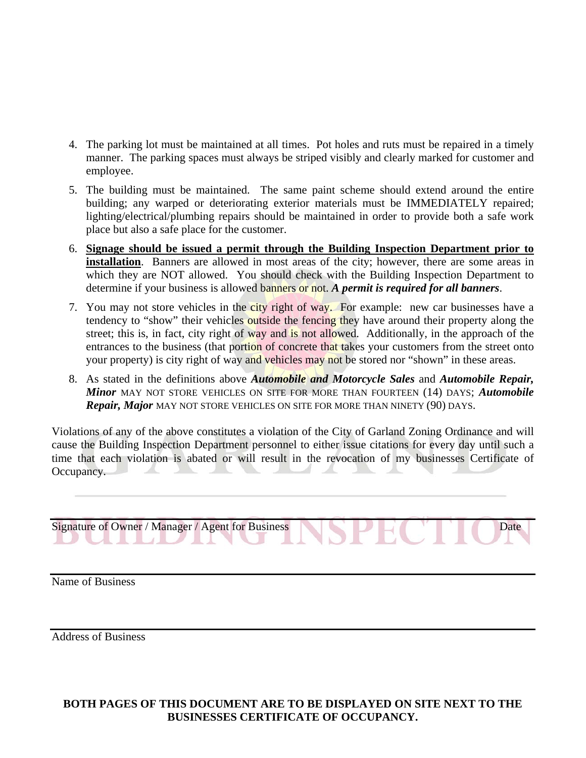- 4. The parking lot must be maintained at all times. Pot holes and ruts must be repaired in a timely manner. The parking spaces must always be striped visibly and clearly marked for customer and employee.
- 5. The building must be maintained. The same paint scheme should extend around the entire building; any warped or deteriorating exterior materials must be IMMEDIATELY repaired; lighting/electrical/plumbing repairs should be maintained in order to provide both a safe work place but also a safe place for the customer.
- 6. **Signage should be issued a permit through the Building Inspection Department prior to installation**. Banners are allowed in most areas of the city; however, there are some areas in which they are NOT allowed. You should check with the Building Inspection Department to determine if your business is allowed banners or not. *A permit is required for all banners*.
- 7. You may not store vehicles in the city right of way. For example: new car businesses have a tendency to "show" their vehicles outside the fencing they have around their property along the street; this is, in fact, city right of way and is not allowed. Additionally, in the approach of the entrances to the business (that portion of concrete that takes your customers from the street onto your property) is city right of way and vehicles may not be stored nor "shown" in these areas.
- 8. As stated in the definitions above *Automobile and Motorcycle Sales* and *Automobile Repair, Minor* MAY NOT STORE VEHICLES ON SITE FOR MORE THAN FOURTEEN (14) DAYS; *Automobile Repair, Major* MAY NOT STORE VEHICLES ON SITE FOR MORE THAN NINETY (90) DAYS.

Violations of any of the above constitutes a violation of the City of Garland Zoning Ordinance and will cause the Building Inspection Department personnel to either issue citations for every day until such a time that each violation is abated or will result in the revocation of my businesses Certificate of Occupancy.

Signature of Owner / Manager / Agent for Business Date

Name of Business

Address of Business

### **BOTH PAGES OF THIS DOCUMENT ARE TO BE DISPLAYED ON SITE NEXT TO THE BUSINESSES CERTIFICATE OF OCCUPANCY.**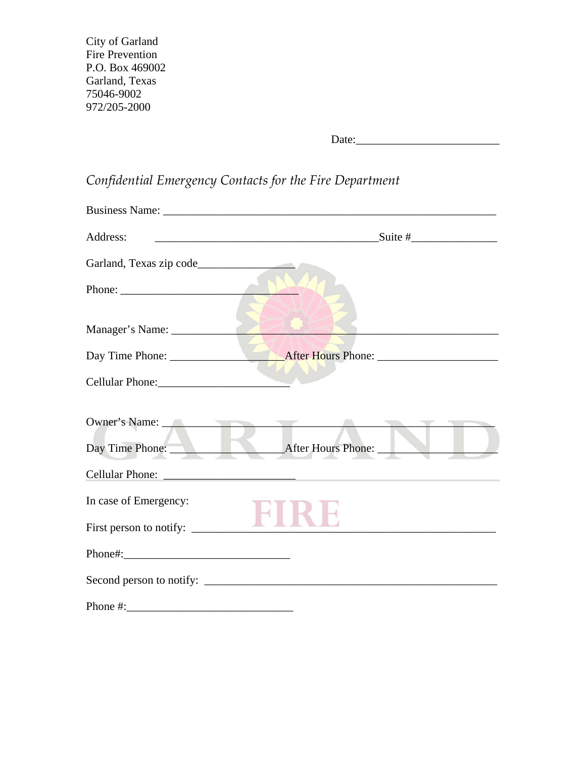City of Garland Fire Prevention P.O. Box 469002 Garland, Texas 75046-9002 972/205-2000

Date:\_\_\_\_\_\_\_\_\_\_\_\_\_\_\_\_\_\_\_\_\_\_\_\_\_

# *Confidential Emergency Contacts for the Fire Department*

| Address:                |                                                                                                                                                                                                                                |
|-------------------------|--------------------------------------------------------------------------------------------------------------------------------------------------------------------------------------------------------------------------------|
|                         |                                                                                                                                                                                                                                |
|                         |                                                                                                                                                                                                                                |
| Manager's Name:         |                                                                                                                                                                                                                                |
|                         |                                                                                                                                                                                                                                |
|                         |                                                                                                                                                                                                                                |
| Cellular Phone: 2008    |                                                                                                                                                                                                                                |
|                         | Owner's Name: No. 2006. The Communication of the Communication of the Communication of the Communication of the Communication of the Communication of the Communication of the Communication of the Communication of the Commu |
| Day Time Phone:         | After Hours Phone:                                                                                                                                                                                                             |
|                         | Cellular Phone: New York Collection of the Collection of the Collection of the Collection of the Collection of the Collection of the Collection of the Collection of the Collection of the Collection of the Collection of the |
| In case of Emergency:   |                                                                                                                                                                                                                                |
| First person to notify: |                                                                                                                                                                                                                                |
|                         |                                                                                                                                                                                                                                |
|                         |                                                                                                                                                                                                                                |
| Phone #:                |                                                                                                                                                                                                                                |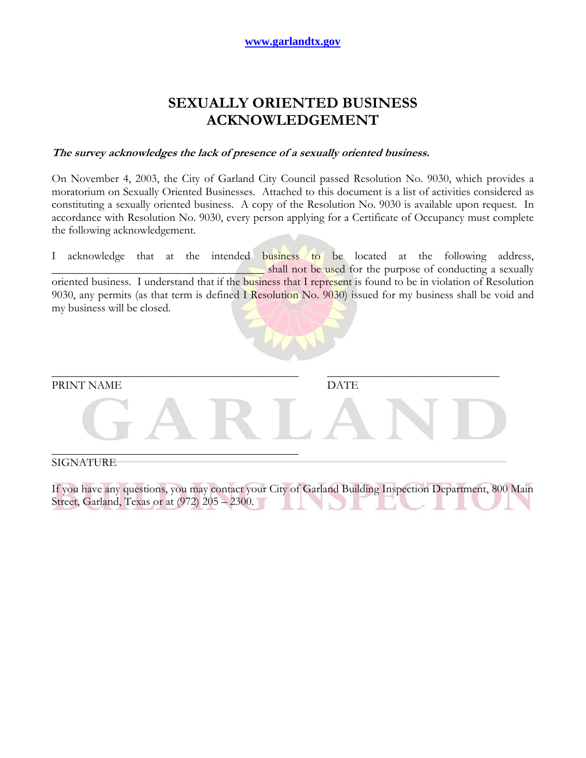## **SEXUALLY ORIENTED BUSINESS ACKNOWLEDGEMENT**

### **The survey acknowledges the lack of presence of a sexually oriented business.**

On November 4, 2003, the City of Garland City Council passed Resolution No. 9030, which provides a moratorium on Sexually Oriented Businesses. Attached to this document is a list of activities considered as constituting a sexually oriented business. A copy of the Resolution No. 9030 is available upon request. In accordance with Resolution No. 9030, every person applying for a Certificate of Occupancy must complete the following acknowledgement.

I acknowledge that at the intended business to be located at the following address, shall not be used for the purpose of conducting a sexually oriented business. I understand that if the business that I represent is found to be in violation of Resolution 9030, any permits (as that term is defined I Resolution No. 9030) issued for my business shall be void and

my business will be closed.



PRINT NAME DATE



\_\_\_\_\_\_\_\_\_\_\_\_\_\_\_\_\_\_\_\_\_\_\_\_\_\_\_\_\_\_\_\_\_\_\_\_\_\_\_\_\_\_\_ \_\_\_\_\_\_\_\_\_\_\_\_\_\_\_\_\_\_\_\_\_\_\_\_\_\_\_\_\_\_

### SIGNATURE

If you have any questions, you may contact your City of Garland Building Inspection Department, 800 Main Street, Garland, Texas or at (972) 205 – 2300.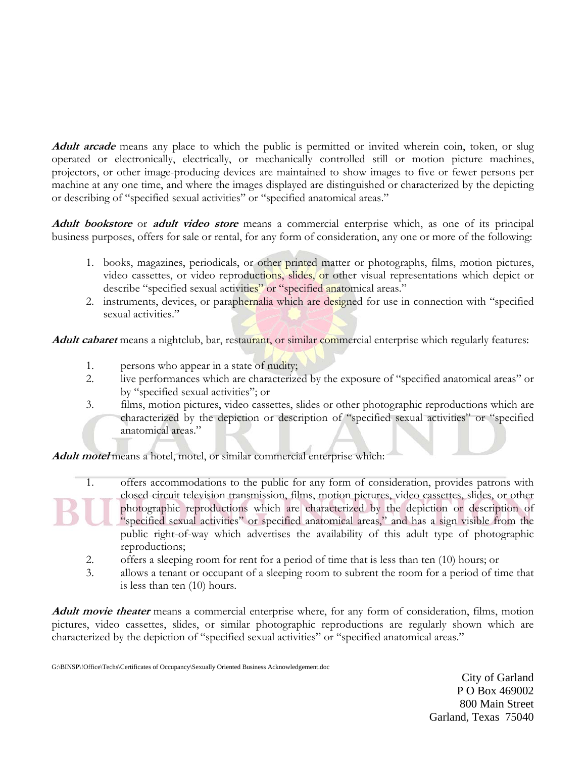**Adult arcade** means any place to which the public is permitted or invited wherein coin, token, or slug operated or electronically, electrically, or mechanically controlled still or motion picture machines, projectors, or other image-producing devices are maintained to show images to five or fewer persons per machine at any one time, and where the images displayed are distinguished or characterized by the depicting or describing of "specified sexual activities" or "specified anatomical areas."

**Adult bookstore** or **adult video store** means a commercial enterprise which, as one of its principal business purposes, offers for sale or rental, for any form of consideration, any one or more of the following:

- 1. books, magazines, periodicals, or other printed matter or photographs, films, motion pictures, video cassettes, or video reproductions, slides, or other visual representations which depict or describe "specified sexual activities" or "specified anatomical areas."
- 2. instruments, devices, or paraphernalia which are designed for use in connection with "specified sexual activities."

**Adult cabaret** means a nightclub, bar, restaurant, or similar commercial enterprise which regularly features:

- 1. persons who appear in a state of nudity;
- 2. live performances which are characterized by the exposure of "specified anatomical areas" or by "specified sexual activities"; or
- 3. films, motion pictures, video cassettes, slides or other photographic reproductions which are characterized by the depiction or description of "specified sexual activities" or "specified anatomical areas."

**Adult motel** means a hotel, motel, or similar commercial enterprise which:

- 1. offers accommodations to the public for any form of consideration, provides patrons with closed-circuit television transmission, films, motion pictures, video cassettes, slides, or other photographic reproductions which are characterized by the depiction or description of "specified sexual activities" or specified anatomical areas," and has a sign visible from the public right-of-way which advertises the availability of this adult type of photographic reproductions;
	- 2. offers a sleeping room for rent for a period of time that is less than ten (10) hours; or
	- 3. allows a tenant or occupant of a sleeping room to subrent the room for a period of time that is less than ten (10) hours.

**Adult movie theater** means a commercial enterprise where, for any form of consideration, films, motion pictures, video cassettes, slides, or similar photographic reproductions are regularly shown which are characterized by the depiction of "specified sexual activities" or "specified anatomical areas."

G:\BINSP\!Office\Techs\Certificates of Occupancy\Sexually Oriented Business Acknowledgement.doc

City of Garland P O Box 469002 800 Main Street Garland, Texas 75040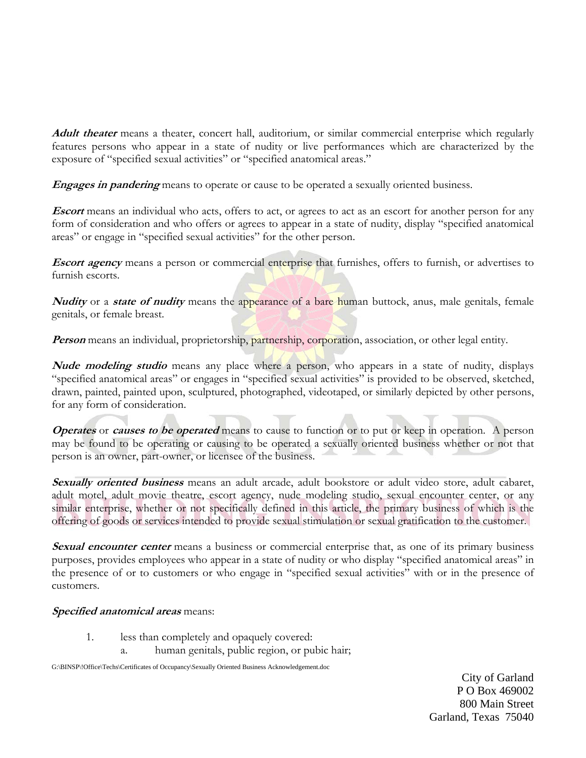**Adult theater** means a theater, concert hall, auditorium, or similar commercial enterprise which regularly features persons who appear in a state of nudity or live performances which are characterized by the exposure of "specified sexual activities" or "specified anatomical areas."

**Engages in pandering** means to operate or cause to be operated a sexually oriented business.

**Escort** means an individual who acts, offers to act, or agrees to act as an escort for another person for any form of consideration and who offers or agrees to appear in a state of nudity, display "specified anatomical areas" or engage in "specified sexual activities" for the other person.

**Escort agency** means a person or commercial enterprise that furnishes, offers to furnish, or advertises to furnish escorts.

**Nudity** or a **state of nudity** means the appearance of a bare human buttock, anus, male genitals, female genitals, or female breast.

**Person** means an individual, proprietorship, partnership, corporation, association, or other legal entity.

**Nude modeling studio** means any place where a person, who appears in a state of nudity, displays "specified anatomical areas" or engages in "specified sexual activities" is provided to be observed, sketched, drawn, painted, painted upon, sculptured, photographed, videotaped, or similarly depicted by other persons, for any form of consideration.

**Operates** or **causes to be operated** means to cause to function or to put or keep in operation. A person may be found to be operating or causing to be operated a sexually oriented business whether or not that person is an owner, part-owner, or licensee of the business.

**Sexually oriented business** means an adult arcade, adult bookstore or adult video store, adult cabaret, adult motel, adult movie theatre, escort agency, nude modeling studio, sexual encounter center, or any similar enterprise, whether or not specifically defined in this article, the primary business of which is the offering of goods or services intended to provide sexual stimulation or sexual gratification to the customer.

**Sexual encounter center** means a business or commercial enterprise that, as one of its primary business purposes, provides employees who appear in a state of nudity or who display "specified anatomical areas" in the presence of or to customers or who engage in "specified sexual activities" with or in the presence of customers.

### **Specified anatomical areas** means:

- 1. less than completely and opaquely covered:
	- a. human genitals, public region, or pubic hair;

G:\BINSP\!Office\Techs\Certificates of Occupancy\Sexually Oriented Business Acknowledgement.doc

City of Garland P O Box 469002 800 Main Street Garland, Texas 75040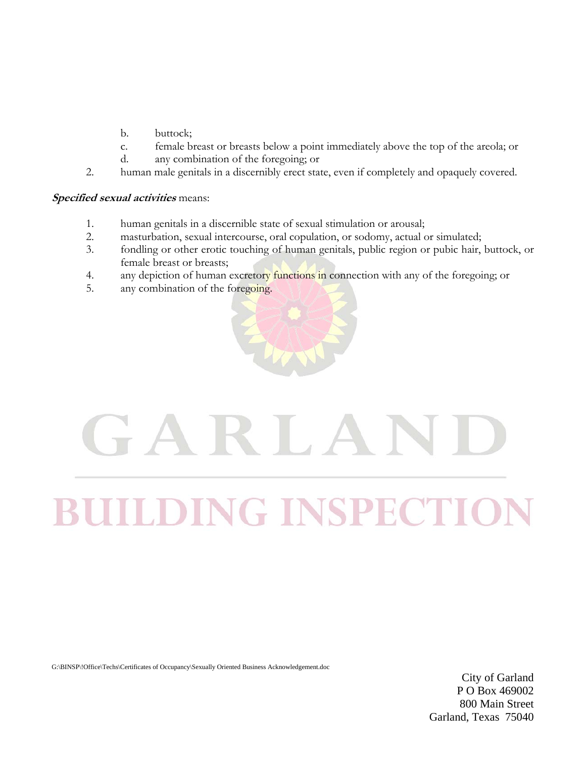- b. buttock;
- c. female breast or breasts below a point immediately above the top of the areola; or
- d. any combination of the foregoing; or
- 2. human male genitals in a discernibly erect state, even if completely and opaquely covered.

### **Specified sexual activities** means:

- 1. human genitals in a discernible state of sexual stimulation or arousal;
- 2. masturbation, sexual intercourse, oral copulation, or sodomy, actual or simulated;
- 3. fondling or other erotic touching of human genitals, public region or pubic hair, buttock, or female breast or breasts;
- 4. any depiction of human excretory functions in connection with any of the foregoing; or
- 5. any combination of the foregoing.



# H. **NG INSPECT**

G:\BINSP\!Office\Techs\Certificates of Occupancy\Sexually Oriented Business Acknowledgement.doc

City of Garland P O Box 469002 800 Main Street Garland, Texas 75040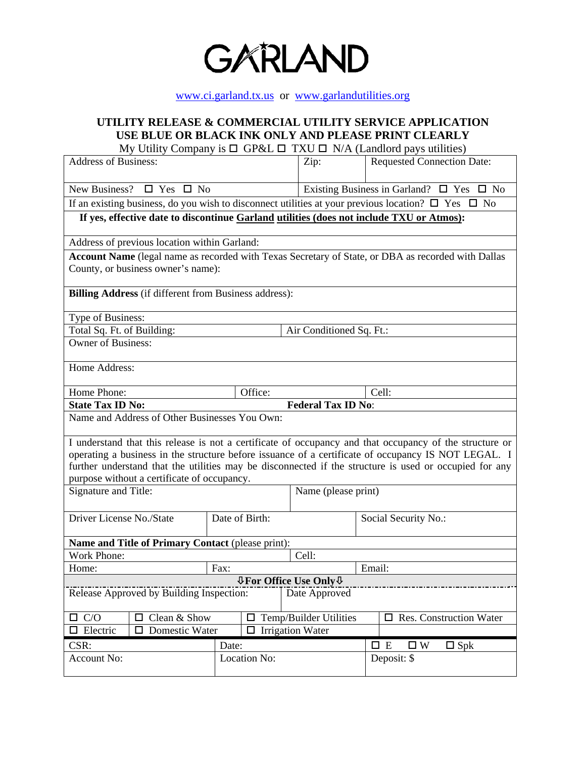

### www.ci.garland.tx.us or www.garlandutilities.org

### **UTILITY RELEASE & COMMERCIAL UTILITY SERVICE APPLICATION USE BLUE OR BLACK INK ONLY AND PLEASE PRINT CLEARLY**

My Utility Company is  $\Box$  GP&L  $\Box$  TXU  $\Box$  N/A (Landlord pays utilities)

| <b>Address of Business:</b>                                                                                        |                                    |                         | Zip:                      |                                                          | <b>Requested Connection Date:</b>           |  |  |  |
|--------------------------------------------------------------------------------------------------------------------|------------------------------------|-------------------------|---------------------------|----------------------------------------------------------|---------------------------------------------|--|--|--|
| New Business? $\square$ Yes $\square$ No                                                                           |                                    |                         |                           | Existing Business in Garland? $\square$ Yes $\square$ No |                                             |  |  |  |
|                                                                                                                    |                                    |                         |                           |                                                          |                                             |  |  |  |
| If an existing business, do you wish to disconnect utilities at your previous location? $\square$ Yes $\square$ No |                                    |                         |                           |                                                          |                                             |  |  |  |
| If yes, effective date to discontinue Garland utilities (does not include TXU or Atmos):                           |                                    |                         |                           |                                                          |                                             |  |  |  |
| Address of previous location within Garland:                                                                       |                                    |                         |                           |                                                          |                                             |  |  |  |
| Account Name (legal name as recorded with Texas Secretary of State, or DBA as recorded with Dallas                 |                                    |                         |                           |                                                          |                                             |  |  |  |
|                                                                                                                    | County, or business owner's name): |                         |                           |                                                          |                                             |  |  |  |
| <b>Billing Address</b> (if different from Business address):                                                       |                                    |                         |                           |                                                          |                                             |  |  |  |
| Type of Business:                                                                                                  |                                    |                         |                           |                                                          |                                             |  |  |  |
| Total Sq. Ft. of Building:                                                                                         |                                    |                         | Air Conditioned Sq. Ft.:  |                                                          |                                             |  |  |  |
| <b>Owner of Business:</b>                                                                                          |                                    |                         |                           |                                                          |                                             |  |  |  |
|                                                                                                                    |                                    |                         |                           |                                                          |                                             |  |  |  |
| Home Address:                                                                                                      |                                    |                         |                           |                                                          |                                             |  |  |  |
| Home Phone:                                                                                                        |                                    | Office:                 |                           |                                                          | Cell:                                       |  |  |  |
| <b>State Tax ID No:</b>                                                                                            |                                    |                         | <b>Federal Tax ID No:</b> |                                                          |                                             |  |  |  |
| Name and Address of Other Businesses You Own:                                                                      |                                    |                         |                           |                                                          |                                             |  |  |  |
| I understand that this release is not a certificate of occupancy and that occupancy of the structure or            |                                    |                         |                           |                                                          |                                             |  |  |  |
| operating a business in the structure before issuance of a certificate of occupancy IS NOT LEGAL. I                |                                    |                         |                           |                                                          |                                             |  |  |  |
| further understand that the utilities may be disconnected if the structure is used or occupied for any             |                                    |                         |                           |                                                          |                                             |  |  |  |
| purpose without a certificate of occupancy.                                                                        |                                    |                         |                           |                                                          |                                             |  |  |  |
| Signature and Title:                                                                                               |                                    | Name (please print)     |                           |                                                          |                                             |  |  |  |
| Driver License No./State<br>Date of Birth:                                                                         |                                    |                         |                           | Social Security No.:                                     |                                             |  |  |  |
|                                                                                                                    |                                    |                         |                           |                                                          |                                             |  |  |  |
| Name and Title of Primary Contact (please print):                                                                  |                                    |                         |                           |                                                          |                                             |  |  |  |
| Work Phone:                                                                                                        | $\overline{Cell}$ :                |                         |                           |                                                          |                                             |  |  |  |
| Home:                                                                                                              | Fax:                               |                         |                           | Email:                                                   |                                             |  |  |  |
| <b>↓For Office Use Only ↓</b>                                                                                      |                                    |                         |                           |                                                          |                                             |  |  |  |
| Release Approved by Building Inspection:<br>Date Approved                                                          |                                    |                         |                           |                                                          |                                             |  |  |  |
| $\Box$ C/O<br>Clean & Show<br>□                                                                                    | Temp/Builder Utilities<br>□        |                         |                           |                                                          | $\Box$ Res. Construction Water              |  |  |  |
| Electric<br>Domestic Water<br>0                                                                                    |                                    | $\Box$ Irrigation Water |                           |                                                          |                                             |  |  |  |
| CSR:                                                                                                               |                                    | Date:                   |                           |                                                          | $\square$ W<br>$\square$ E<br>$\square$ Spk |  |  |  |
| Account No:                                                                                                        |                                    | Location No:            |                           |                                                          | Deposit: \$                                 |  |  |  |
|                                                                                                                    |                                    |                         |                           |                                                          |                                             |  |  |  |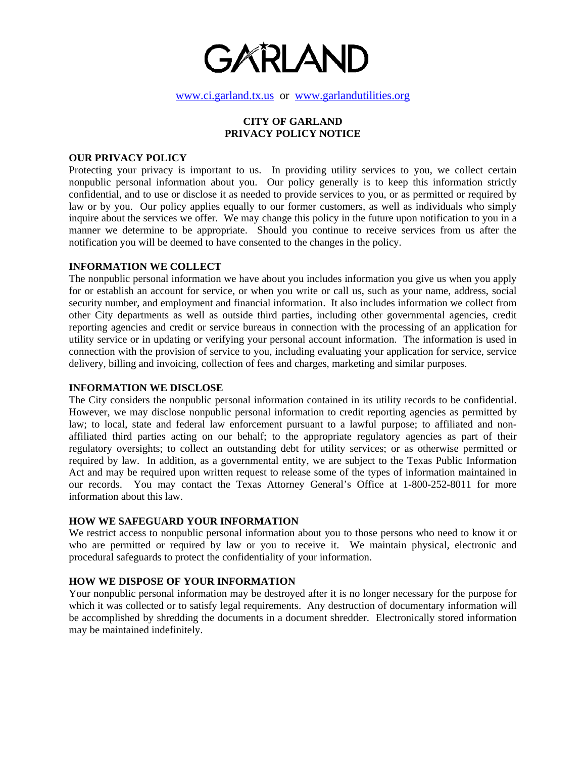

www.ci.garland.tx.us or www.garlandutilities.org

### **CITY OF GARLAND PRIVACY POLICY NOTICE**

### **OUR PRIVACY POLICY**

Protecting your privacy is important to us. In providing utility services to you, we collect certain nonpublic personal information about you. Our policy generally is to keep this information strictly confidential, and to use or disclose it as needed to provide services to you, or as permitted or required by law or by you. Our policy applies equally to our former customers, as well as individuals who simply inquire about the services we offer. We may change this policy in the future upon notification to you in a manner we determine to be appropriate. Should you continue to receive services from us after the notification you will be deemed to have consented to the changes in the policy.

### **INFORMATION WE COLLECT**

The nonpublic personal information we have about you includes information you give us when you apply for or establish an account for service, or when you write or call us, such as your name, address, social security number, and employment and financial information. It also includes information we collect from other City departments as well as outside third parties, including other governmental agencies, credit reporting agencies and credit or service bureaus in connection with the processing of an application for utility service or in updating or verifying your personal account information. The information is used in connection with the provision of service to you, including evaluating your application for service, service delivery, billing and invoicing, collection of fees and charges, marketing and similar purposes.

#### **INFORMATION WE DISCLOSE**

The City considers the nonpublic personal information contained in its utility records to be confidential. However, we may disclose nonpublic personal information to credit reporting agencies as permitted by law; to local, state and federal law enforcement pursuant to a lawful purpose; to affiliated and nonaffiliated third parties acting on our behalf; to the appropriate regulatory agencies as part of their regulatory oversights; to collect an outstanding debt for utility services; or as otherwise permitted or required by law. In addition, as a governmental entity, we are subject to the Texas Public Information Act and may be required upon written request to release some of the types of information maintained in our records. You may contact the Texas Attorney General's Office at 1-800-252-8011 for more information about this law.

### **HOW WE SAFEGUARD YOUR INFORMATION**

We restrict access to nonpublic personal information about you to those persons who need to know it or who are permitted or required by law or you to receive it. We maintain physical, electronic and procedural safeguards to protect the confidentiality of your information.

### **HOW WE DISPOSE OF YOUR INFORMATION**

Your nonpublic personal information may be destroyed after it is no longer necessary for the purpose for which it was collected or to satisfy legal requirements. Any destruction of documentary information will be accomplished by shredding the documents in a document shredder. Electronically stored information may be maintained indefinitely.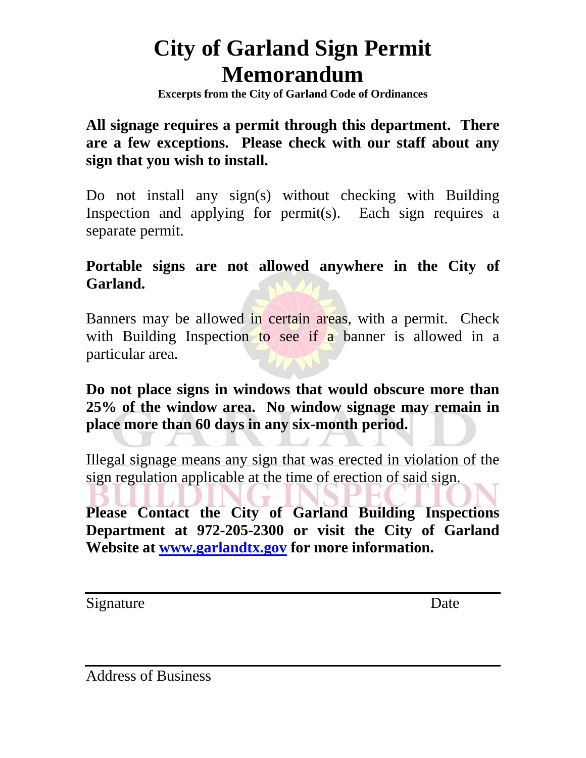# **City of Garland Sign Permit Memorandum**

**Excerpts from the City of Garland Code of Ordinances**

# **All signage requires a permit through this department. There are a few exceptions. Please check with our staff about any sign that you wish to install.**

Do not install any sign(s) without checking with Building Inspection and applying for permit(s). Each sign requires a separate permit.

# **Portable signs are not allowed anywhere in the City of Garland.**

Banners may be allowed in certain areas, with a permit. Check with Building Inspection to see if a banner is allowed in a particular area.

# **Do not place signs in windows that would obscure more than 25% of the window area. No window signage may remain in place more than 60 days in any six-month period.**

Illegal signage means any sign that was erected in violation of the sign regulation applicable at the time of erection of said sign.

**Please Contact the City of Garland Building Inspections Department at 972-205-2300 or visit the City of Garland Website at [www.garlandtx.gov](http://www.ci.garland.tx.us/) for more information.** 

Signature Date